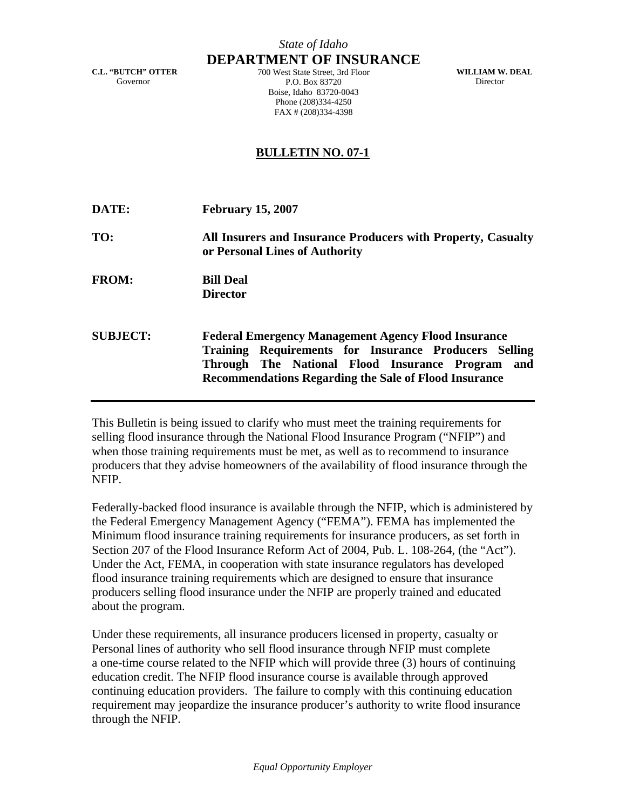## *State of Idaho* **DEPARTMENT OF INSURANCE**

**C.L. "BUTCH" OTTER**  Governor

700 West State Street, 3rd Floor P.O. Box 83720 Boise, Idaho 83720-0043 Phone (208)334-4250 FAX # (208)334-4398

**WILLIAM W. DEAL**  Director

## **BULLETIN NO. 07-1**

| DATE:           | <b>February 15, 2007</b>                                                                                                                                                                                                                   |
|-----------------|--------------------------------------------------------------------------------------------------------------------------------------------------------------------------------------------------------------------------------------------|
| TO:             | All Insurers and Insurance Producers with Property, Casualty<br>or Personal Lines of Authority                                                                                                                                             |
| <b>FROM:</b>    | <b>Bill Deal</b><br><b>Director</b>                                                                                                                                                                                                        |
| <b>SUBJECT:</b> | <b>Federal Emergency Management Agency Flood Insurance</b><br>Training Requirements for Insurance Producers Selling<br>Through The National Flood Insurance Program<br>and<br><b>Recommendations Regarding the Sale of Flood Insurance</b> |

This Bulletin is being issued to clarify who must meet the training requirements for selling flood insurance through the National Flood Insurance Program ("NFIP") and when those training requirements must be met, as well as to recommend to insurance producers that they advise homeowners of the availability of flood insurance through the NFIP.

Federally-backed flood insurance is available through the NFIP, which is administered by the Federal Emergency Management Agency ("FEMA"). FEMA has implemented the Minimum flood insurance training requirements for insurance producers, as set forth in Section 207 of the Flood Insurance Reform Act of 2004, Pub. L. 108-264, (the "Act"). Under the Act, FEMA, in cooperation with state insurance regulators has developed flood insurance training requirements which are designed to ensure that insurance producers selling flood insurance under the NFIP are properly trained and educated about the program.

Under these requirements, all insurance producers licensed in property, casualty or Personal lines of authority who sell flood insurance through NFIP must complete a one-time course related to the NFIP which will provide three (3) hours of continuing education credit. The NFIP flood insurance course is available through approved continuing education providers. The failure to comply with this continuing education requirement may jeopardize the insurance producer's authority to write flood insurance through the NFIP.